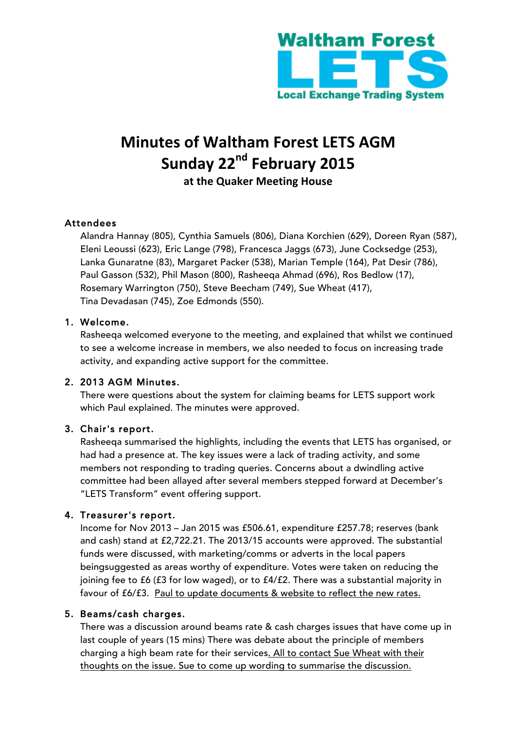

# **Minutes of Waltham Forest LETS AGM Sunday 22nd February 2015** at the Quaker Meeting House

## Attendees

Alandra Hannay (805), Cynthia Samuels (806), Diana Korchien (629), Doreen Ryan (587), Eleni Leoussi (623), Eric Lange (798), Francesca Jaggs (673), June Cocksedge (253), Lanka Gunaratne (83), Margaret Packer (538), Marian Temple (164), Pat Desir (786), Paul Gasson (532), Phil Mason (800), Rasheeqa Ahmad (696), Ros Bedlow (17), Rosemary Warrington (750), Steve Beecham (749), Sue Wheat (417), Tina Devadasan (745), Zoe Edmonds (550).

#### 1. Welcome.

Rasheeqa welcomed everyone to the meeting, and explained that whilst we continued to see a welcome increase in members, we also needed to focus on increasing trade activity, and expanding active support for the committee.

### 2. 2013 AGM Minutes.

There were questions about the system for claiming beams for LETS support work which Paul explained. The minutes were approved.

### 3. Chair's report.

Rasheeqa summarised the highlights, including the events that LETS has organised, or had had a presence at. The key issues were a lack of trading activity, and some members not responding to trading queries. Concerns about a dwindling active committee had been allayed after several members stepped forward at December's "LETS Transform" event offering support.

### 4. Treasurer's report.

Income for Nov 2013 – Jan 2015 was £506.61, expenditure £257.78; reserves (bank and cash) stand at £2,722.21. The 2013/15 accounts were approved. The substantial funds were discussed, with marketing/comms or adverts in the local papers beingsuggested as areas worthy of expenditure. Votes were taken on reducing the joining fee to £6 (£3 for low waged), or to £4/£2. There was a substantial majority in favour of £6/£3. Paul to update documents & website to reflect the new rates.

#### 5. Beams/cash charges.

There was a discussion around beams rate & cash charges issues that have come up in last couple of years (15 mins) There was debate about the principle of members charging a high beam rate for their services. All to contact Sue Wheat with their thoughts on the issue. Sue to come up wording to summarise the discussion.